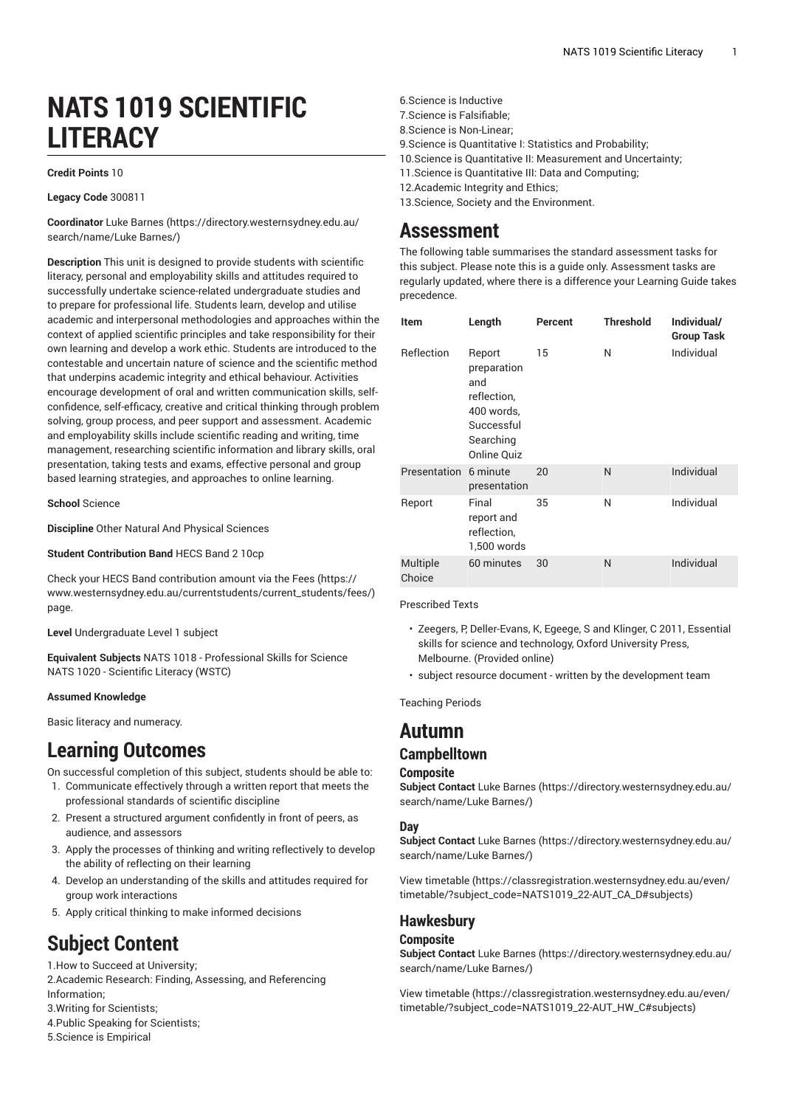# **NATS 1019 SCIENTIFIC LITERACY**

#### **Credit Points** 10

**Legacy Code** 300811

**Coordinator** Luke [Barnes \(https://directory.westernsydney.edu.au/](https://directory.westernsydney.edu.au/search/name/Luke Barnes/) [search/name/Luke](https://directory.westernsydney.edu.au/search/name/Luke Barnes/) Barnes/)

**Description** This unit is designed to provide students with scientific literacy, personal and employability skills and attitudes required to successfully undertake science-related undergraduate studies and to prepare for professional life. Students learn, develop and utilise academic and interpersonal methodologies and approaches within the context of applied scientific principles and take responsibility for their own learning and develop a work ethic. Students are introduced to the contestable and uncertain nature of science and the scientific method that underpins academic integrity and ethical behaviour. Activities encourage development of oral and written communication skills, selfconfidence, self-efficacy, creative and critical thinking through problem solving, group process, and peer support and assessment. Academic and employability skills include scientific reading and writing, time management, researching scientific information and library skills, oral presentation, taking tests and exams, effective personal and group based learning strategies, and approaches to online learning.

**School** Science

**Discipline** Other Natural And Physical Sciences

**Student Contribution Band** HECS Band 2 10cp

Check your HECS Band contribution amount via the [Fees \(https://](https://www.westernsydney.edu.au/currentstudents/current_students/fees/) [www.westernsydney.edu.au/currentstudents/current\\_students/fees/\)](https://www.westernsydney.edu.au/currentstudents/current_students/fees/) page.

**Level** Undergraduate Level 1 subject

**Equivalent Subjects** NATS 1018 - Professional Skills for Science [NATS](/search/?P=NATS%201020) 1020 - Scientific Literacy (WSTC)

#### **Assumed Knowledge**

Basic literacy and numeracy.

## **Learning Outcomes**

On successful completion of this subject, students should be able to:

- 1. Communicate effectively through a written report that meets the professional standards of scientific discipline
- 2. Present a structured argument confidently in front of peers, as audience, and assessors
- 3. Apply the processes of thinking and writing reflectively to develop the ability of reflecting on their learning
- 4. Develop an understanding of the skills and attitudes required for group work interactions
- 5. Apply critical thinking to make informed decisions

## **Subject Content**

1.How to Succeed at University;

2.Academic Research: Finding, Assessing, and Referencing Information;

- 3.Writing for Scientists;
- 4.Public Speaking for Scientists;
- 5.Science is Empirical
- 6.Science is Inductive
- 7.Science is Falsifiable;
- 8.Science is Non-Linear;
- 9.Science is Quantitative I: Statistics and Probability;
- 10.Science is Quantitative II: Measurement and Uncertainty;
- 11.Science is Quantitative III: Data and Computing;
- 12.Academic Integrity and Ethics;

13.Science, Society and the Environment.

## **Assessment**

The following table summarises the standard assessment tasks for this subject. Please note this is a guide only. Assessment tasks are regularly updated, where there is a difference your Learning Guide takes precedence.

| Item               | Length                                                                                                     | Percent | <b>Threshold</b> | Individual/<br><b>Group Task</b> |
|--------------------|------------------------------------------------------------------------------------------------------------|---------|------------------|----------------------------------|
| Reflection         | Report<br>preparation<br>and<br>reflection,<br>400 words,<br>Successful<br>Searching<br><b>Online Quiz</b> | 15      | N                | Individual                       |
| Presentation       | 6 minute<br>presentation                                                                                   | 20      | N                | Individual                       |
| Report             | Final<br>report and<br>reflection,<br>1,500 words                                                          | 35      | N                | Individual                       |
| Multiple<br>Choice | 60 minutes                                                                                                 | 30      | N                | Individual                       |

Prescribed Texts

- Zeegers, P, Deller-Evans, K, Egeege, S and Klinger, C 2011, Essential skills for science and technology, Oxford University Press, Melbourne. (Provided online)
- subject resource document written by the development team

Teaching Periods

## **Autumn**

## **Campbelltown**

#### **Composite**

**Subject Contact** Luke [Barnes](https://directory.westernsydney.edu.au/search/name/Luke Barnes/) ([https://directory.westernsydney.edu.au/](https://directory.westernsydney.edu.au/search/name/Luke Barnes/) [search/name/Luke](https://directory.westernsydney.edu.au/search/name/Luke Barnes/) Barnes/)

#### **Day**

**Subject Contact** Luke [Barnes](https://directory.westernsydney.edu.au/search/name/Luke Barnes/) ([https://directory.westernsydney.edu.au/](https://directory.westernsydney.edu.au/search/name/Luke Barnes/) [search/name/Luke](https://directory.westernsydney.edu.au/search/name/Luke Barnes/) Barnes/)

[View timetable](https://classregistration.westernsydney.edu.au/even/timetable/?subject_code=NATS1019_22-AUT_CA_D#subjects) [\(https://classregistration.westernsydney.edu.au/even/](https://classregistration.westernsydney.edu.au/even/timetable/?subject_code=NATS1019_22-AUT_CA_D#subjects) [timetable/?subject\\_code=NATS1019\\_22-AUT\\_CA\\_D#subjects\)](https://classregistration.westernsydney.edu.au/even/timetable/?subject_code=NATS1019_22-AUT_CA_D#subjects)

### **Hawkesbury**

#### **Composite**

**Subject Contact** Luke [Barnes](https://directory.westernsydney.edu.au/search/name/Luke Barnes/) ([https://directory.westernsydney.edu.au/](https://directory.westernsydney.edu.au/search/name/Luke Barnes/) [search/name/Luke](https://directory.westernsydney.edu.au/search/name/Luke Barnes/) Barnes/)

[View timetable](https://classregistration.westernsydney.edu.au/even/timetable/?subject_code=NATS1019_22-AUT_HW_C#subjects) [\(https://classregistration.westernsydney.edu.au/even/](https://classregistration.westernsydney.edu.au/even/timetable/?subject_code=NATS1019_22-AUT_HW_C#subjects) [timetable/?subject\\_code=NATS1019\\_22-AUT\\_HW\\_C#subjects\)](https://classregistration.westernsydney.edu.au/even/timetable/?subject_code=NATS1019_22-AUT_HW_C#subjects)